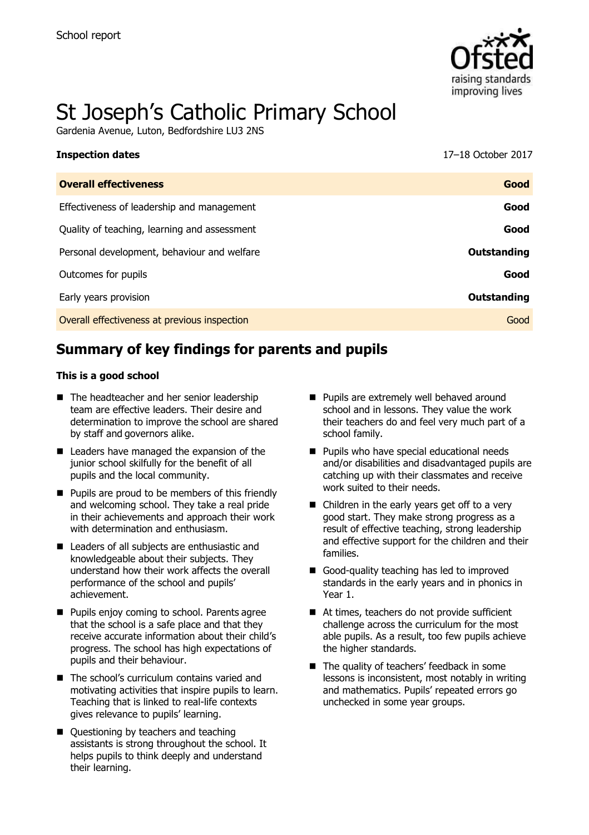

# St Joseph's Catholic Primary School

Gardenia Avenue, Luton, Bedfordshire LU3 2NS

| <b>Inspection dates</b>                      | 17–18 October 2017 |
|----------------------------------------------|--------------------|
| <b>Overall effectiveness</b>                 | Good               |
| Effectiveness of leadership and management   | Good               |
| Quality of teaching, learning and assessment | Good               |
| Personal development, behaviour and welfare  | Outstanding        |
| Outcomes for pupils                          | Good               |
| Early years provision                        | Outstanding        |
| Overall effectiveness at previous inspection | Good               |

# **Summary of key findings for parents and pupils**

#### **This is a good school**

- The headteacher and her senior leadership team are effective leaders. Their desire and determination to improve the school are shared by staff and governors alike.
- Leaders have managed the expansion of the junior school skilfully for the benefit of all pupils and the local community.
- **Pupils are proud to be members of this friendly** and welcoming school. They take a real pride in their achievements and approach their work with determination and enthusiasm.
- Leaders of all subiects are enthusiastic and knowledgeable about their subjects. They understand how their work affects the overall performance of the school and pupils' achievement.
- **Pupils enjoy coming to school. Parents agree** that the school is a safe place and that they receive accurate information about their child's progress. The school has high expectations of pupils and their behaviour.
- The school's curriculum contains varied and motivating activities that inspire pupils to learn. Teaching that is linked to real-life contexts gives relevance to pupils' learning.
- Ouestioning by teachers and teaching assistants is strong throughout the school. It helps pupils to think deeply and understand their learning.
- **Pupils are extremely well behaved around** school and in lessons. They value the work their teachers do and feel very much part of a school family.
- **Pupils who have special educational needs** and/or disabilities and disadvantaged pupils are catching up with their classmates and receive work suited to their needs.
- Children in the early years get off to a very good start. They make strong progress as a result of effective teaching, strong leadership and effective support for the children and their families.
- Good-quality teaching has led to improved standards in the early years and in phonics in Year 1.
- At times, teachers do not provide sufficient challenge across the curriculum for the most able pupils. As a result, too few pupils achieve the higher standards.
- The quality of teachers' feedback in some lessons is inconsistent, most notably in writing and mathematics. Pupils' repeated errors go unchecked in some year groups.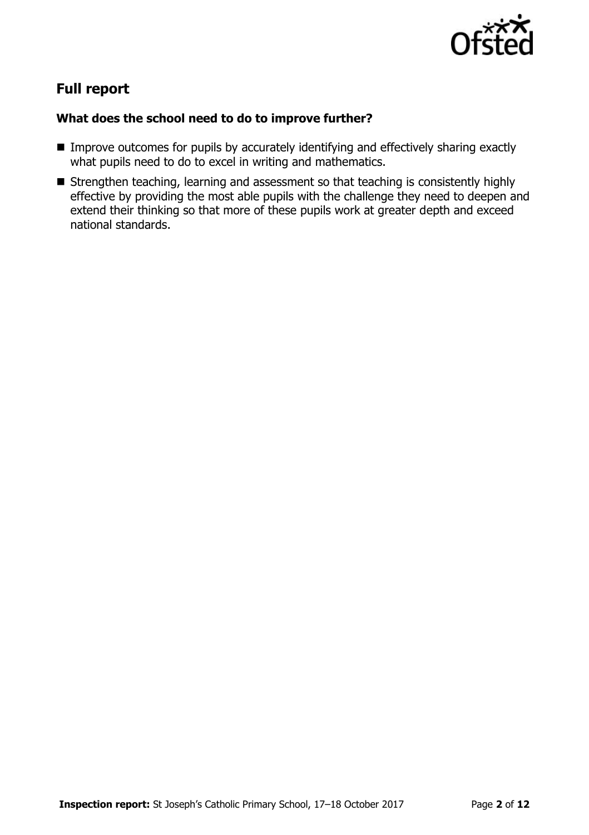

# **Full report**

#### **What does the school need to do to improve further?**

- **IMPROVE OUTCOMES for pupils by accurately identifying and effectively sharing exactly** what pupils need to do to excel in writing and mathematics.
- Strengthen teaching, learning and assessment so that teaching is consistently highly effective by providing the most able pupils with the challenge they need to deepen and extend their thinking so that more of these pupils work at greater depth and exceed national standards.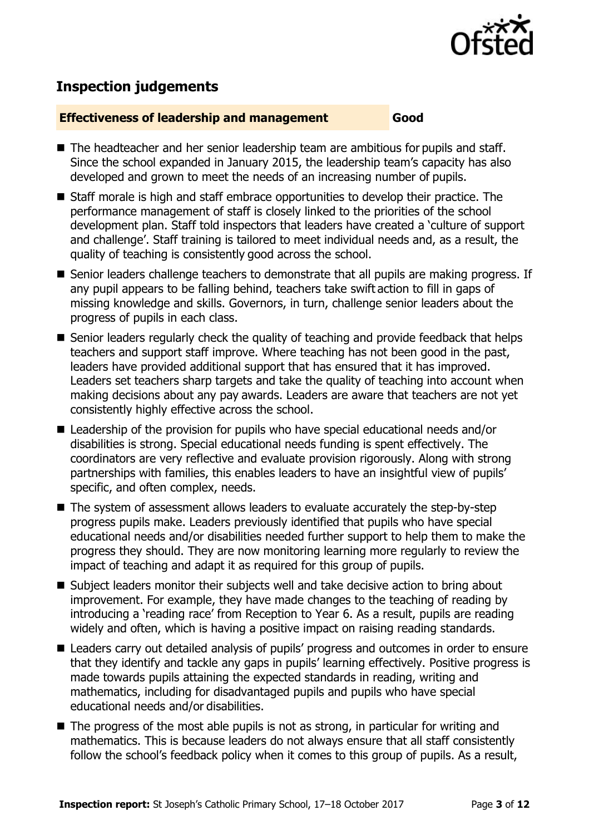

# **Inspection judgements**

#### **Effectiveness of leadership and management Good**

- The headteacher and her senior leadership team are ambitious for pupils and staff. Since the school expanded in January 2015, the leadership team's capacity has also developed and grown to meet the needs of an increasing number of pupils.
- Staff morale is high and staff embrace opportunities to develop their practice. The performance management of staff is closely linked to the priorities of the school development plan. Staff told inspectors that leaders have created a 'culture of support and challenge'. Staff training is tailored to meet individual needs and, as a result, the quality of teaching is consistently good across the school.
- Senior leaders challenge teachers to demonstrate that all pupils are making progress. If any pupil appears to be falling behind, teachers take swift action to fill in gaps of missing knowledge and skills. Governors, in turn, challenge senior leaders about the progress of pupils in each class.
- Senior leaders regularly check the quality of teaching and provide feedback that helps teachers and support staff improve. Where teaching has not been good in the past, leaders have provided additional support that has ensured that it has improved. Leaders set teachers sharp targets and take the quality of teaching into account when making decisions about any pay awards. Leaders are aware that teachers are not yet consistently highly effective across the school.
- Leadership of the provision for pupils who have special educational needs and/or disabilities is strong. Special educational needs funding is spent effectively. The coordinators are very reflective and evaluate provision rigorously. Along with strong partnerships with families, this enables leaders to have an insightful view of pupils' specific, and often complex, needs.
- The system of assessment allows leaders to evaluate accurately the step-by-step progress pupils make. Leaders previously identified that pupils who have special educational needs and/or disabilities needed further support to help them to make the progress they should. They are now monitoring learning more regularly to review the impact of teaching and adapt it as required for this group of pupils.
- Subject leaders monitor their subjects well and take decisive action to bring about improvement. For example, they have made changes to the teaching of reading by introducing a 'reading race' from Reception to Year 6. As a result, pupils are reading widely and often, which is having a positive impact on raising reading standards.
- Leaders carry out detailed analysis of pupils' progress and outcomes in order to ensure that they identify and tackle any gaps in pupils' learning effectively. Positive progress is made towards pupils attaining the expected standards in reading, writing and mathematics, including for disadvantaged pupils and pupils who have special educational needs and/or disabilities.
- $\blacksquare$  The progress of the most able pupils is not as strong, in particular for writing and mathematics. This is because leaders do not always ensure that all staff consistently follow the school's feedback policy when it comes to this group of pupils. As a result,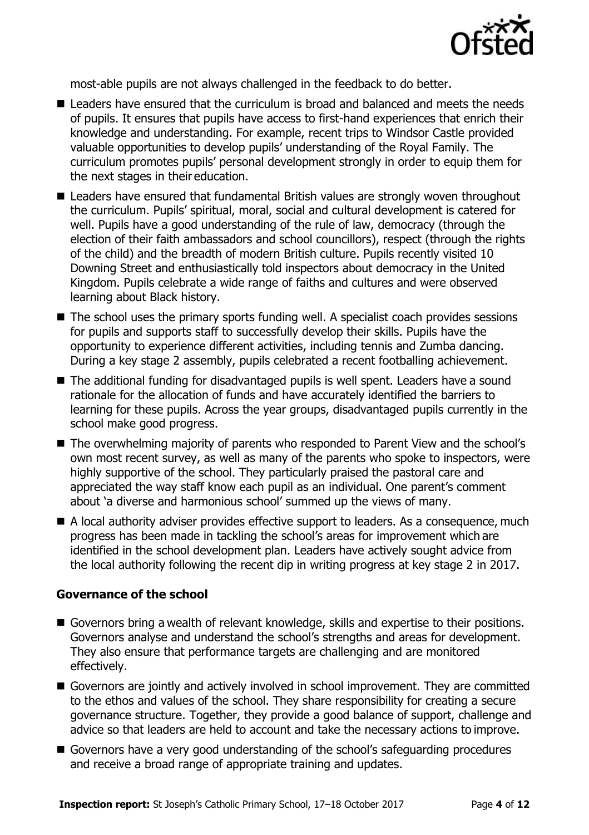

most-able pupils are not always challenged in the feedback to do better.

- Leaders have ensured that the curriculum is broad and balanced and meets the needs of pupils. It ensures that pupils have access to first-hand experiences that enrich their knowledge and understanding. For example, recent trips to Windsor Castle provided valuable opportunities to develop pupils' understanding of the Royal Family. The curriculum promotes pupils' personal development strongly in order to equip them for the next stages in their education.
- Leaders have ensured that fundamental British values are strongly woven throughout the curriculum. Pupils' spiritual, moral, social and cultural development is catered for well. Pupils have a good understanding of the rule of law, democracy (through the election of their faith ambassadors and school councillors), respect (through the rights of the child) and the breadth of modern British culture. Pupils recently visited 10 Downing Street and enthusiastically told inspectors about democracy in the United Kingdom. Pupils celebrate a wide range of faiths and cultures and were observed learning about Black history.
- The school uses the primary sports funding well. A specialist coach provides sessions for pupils and supports staff to successfully develop their skills. Pupils have the opportunity to experience different activities, including tennis and Zumba dancing. During a key stage 2 assembly, pupils celebrated a recent footballing achievement.
- The additional funding for disadvantaged pupils is well spent. Leaders have a sound rationale for the allocation of funds and have accurately identified the barriers to learning for these pupils. Across the year groups, disadvantaged pupils currently in the school make good progress.
- The overwhelming majority of parents who responded to Parent View and the school's own most recent survey, as well as many of the parents who spoke to inspectors, were highly supportive of the school. They particularly praised the pastoral care and appreciated the way staff know each pupil as an individual. One parent's comment about 'a diverse and harmonious school' summed up the views of many.
- A local authority adviser provides effective support to leaders. As a consequence, much progress has been made in tackling the school's areas for improvement which are identified in the school development plan. Leaders have actively sought advice from the local authority following the recent dip in writing progress at key stage 2 in 2017.

#### **Governance of the school**

- Governors bring a wealth of relevant knowledge, skills and expertise to their positions. Governors analyse and understand the school's strengths and areas for development. They also ensure that performance targets are challenging and are monitored effectively.
- Governors are jointly and actively involved in school improvement. They are committed to the ethos and values of the school. They share responsibility for creating a secure governance structure. Together, they provide a good balance of support, challenge and advice so that leaders are held to account and take the necessary actions to improve.
- Governors have a very good understanding of the school's safeguarding procedures and receive a broad range of appropriate training and updates.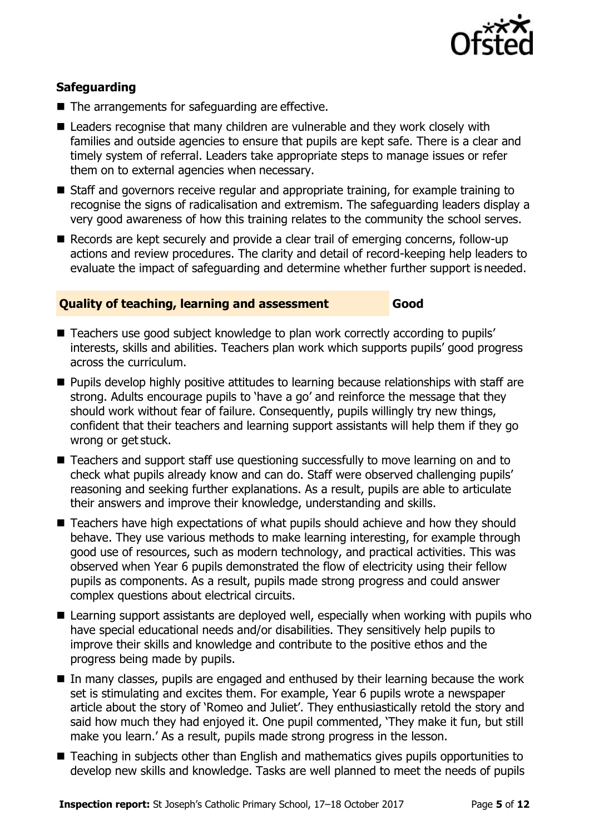

### **Safeguarding**

- $\blacksquare$  The arrangements for safeguarding are effective.
- Leaders recognise that many children are vulnerable and they work closely with families and outside agencies to ensure that pupils are kept safe. There is a clear and timely system of referral. Leaders take appropriate steps to manage issues or refer them on to external agencies when necessary.
- Staff and governors receive regular and appropriate training, for example training to recognise the signs of radicalisation and extremism. The safeguarding leaders display a very good awareness of how this training relates to the community the school serves.
- Records are kept securely and provide a clear trail of emerging concerns, follow-up actions and review procedures. The clarity and detail of record-keeping help leaders to evaluate the impact of safeguarding and determine whether further support is needed.

#### **Quality of teaching, learning and assessment Good**

- Teachers use good subject knowledge to plan work correctly according to pupils' interests, skills and abilities. Teachers plan work which supports pupils' good progress across the curriculum.
- **Pupils develop highly positive attitudes to learning because relationships with staff are** strong. Adults encourage pupils to 'have a go' and reinforce the message that they should work without fear of failure. Consequently, pupils willingly try new things, confident that their teachers and learning support assistants will help them if they go wrong or get stuck.
- Teachers and support staff use questioning successfully to move learning on and to check what pupils already know and can do. Staff were observed challenging pupils' reasoning and seeking further explanations. As a result, pupils are able to articulate their answers and improve their knowledge, understanding and skills.
- Teachers have high expectations of what pupils should achieve and how they should behave. They use various methods to make learning interesting, for example through good use of resources, such as modern technology, and practical activities. This was observed when Year 6 pupils demonstrated the flow of electricity using their fellow pupils as components. As a result, pupils made strong progress and could answer complex questions about electrical circuits.
- Learning support assistants are deployed well, especially when working with pupils who have special educational needs and/or disabilities. They sensitively help pupils to improve their skills and knowledge and contribute to the positive ethos and the progress being made by pupils.
- In many classes, pupils are engaged and enthused by their learning because the work set is stimulating and excites them. For example, Year 6 pupils wrote a newspaper article about the story of 'Romeo and Juliet'. They enthusiastically retold the story and said how much they had enjoyed it. One pupil commented, 'They make it fun, but still make you learn.' As a result, pupils made strong progress in the lesson.
- Teaching in subjects other than English and mathematics gives pupils opportunities to develop new skills and knowledge. Tasks are well planned to meet the needs of pupils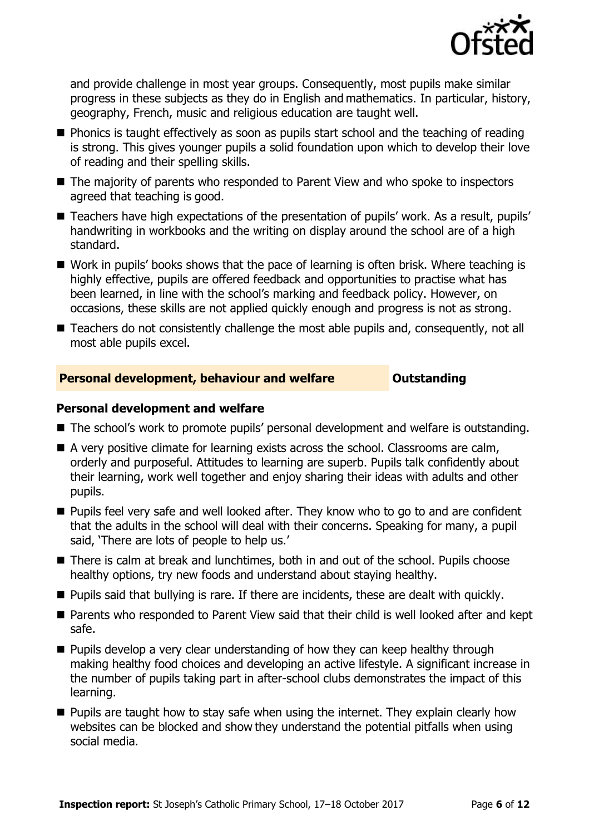

and provide challenge in most year groups. Consequently, most pupils make similar progress in these subjects as they do in English and mathematics. In particular, history, geography, French, music and religious education are taught well.

- **Phonics is taught effectively as soon as pupils start school and the teaching of reading** is strong. This gives younger pupils a solid foundation upon which to develop their love of reading and their spelling skills.
- The majority of parents who responded to Parent View and who spoke to inspectors agreed that teaching is good.
- Teachers have high expectations of the presentation of pupils' work. As a result, pupils' handwriting in workbooks and the writing on display around the school are of a high standard.
- Work in pupils' books shows that the pace of learning is often brisk. Where teaching is highly effective, pupils are offered feedback and opportunities to practise what has been learned, in line with the school's marking and feedback policy. However, on occasions, these skills are not applied quickly enough and progress is not as strong.
- Teachers do not consistently challenge the most able pupils and, consequently, not all most able pupils excel.

#### **Personal development, behaviour and welfare <b>COULTS** Outstanding

#### **Personal development and welfare**

- The school's work to promote pupils' personal development and welfare is outstanding.
- A very positive climate for learning exists across the school. Classrooms are calm, orderly and purposeful. Attitudes to learning are superb. Pupils talk confidently about their learning, work well together and enjoy sharing their ideas with adults and other pupils.
- **Pupils feel very safe and well looked after. They know who to go to and are confident** that the adults in the school will deal with their concerns. Speaking for many, a pupil said, 'There are lots of people to help us.'
- There is calm at break and lunchtimes, both in and out of the school. Pupils choose healthy options, try new foods and understand about staying healthy.
- **Pupils said that bullying is rare. If there are incidents, these are dealt with quickly.**
- Parents who responded to Parent View said that their child is well looked after and kept safe.
- **Pupils develop a very clear understanding of how they can keep healthy through** making healthy food choices and developing an active lifestyle. A significant increase in the number of pupils taking part in after-school clubs demonstrates the impact of this learning.
- **Pupils are taught how to stay safe when using the internet. They explain clearly how** websites can be blocked and show they understand the potential pitfalls when using social media.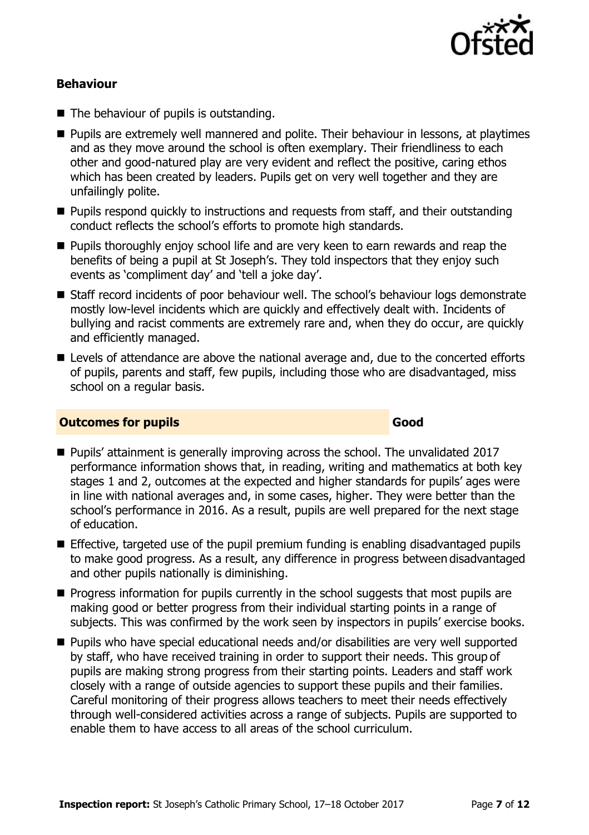

#### **Behaviour**

- The behaviour of pupils is outstanding.
- **Pupils are extremely well mannered and polite. Their behaviour in lessons, at playtimes** and as they move around the school is often exemplary. Their friendliness to each other and good-natured play are very evident and reflect the positive, caring ethos which has been created by leaders. Pupils get on very well together and they are unfailingly polite.
- **Pupils respond quickly to instructions and requests from staff, and their outstanding** conduct reflects the school's efforts to promote high standards.
- **Pupils thoroughly enjoy school life and are very keen to earn rewards and reap the** benefits of being a pupil at St Joseph's. They told inspectors that they enjoy such events as 'compliment day' and 'tell a joke day'.
- Staff record incidents of poor behaviour well. The school's behaviour logs demonstrate mostly low-level incidents which are quickly and effectively dealt with. Incidents of bullying and racist comments are extremely rare and, when they do occur, are quickly and efficiently managed.
- Levels of attendance are above the national average and, due to the concerted efforts of pupils, parents and staff, few pupils, including those who are disadvantaged, miss school on a regular basis.

#### **Outcomes for pupils Good**

- Pupils' attainment is generally improving across the school. The unvalidated 2017 performance information shows that, in reading, writing and mathematics at both key stages 1 and 2, outcomes at the expected and higher standards for pupils' ages were in line with national averages and, in some cases, higher. They were better than the school's performance in 2016. As a result, pupils are well prepared for the next stage of education.
- $\blacksquare$  Effective, targeted use of the pupil premium funding is enabling disadvantaged pupils to make good progress. As a result, any difference in progress between disadvantaged and other pupils nationally is diminishing.
- $\blacksquare$  Progress information for pupils currently in the school suggests that most pupils are making good or better progress from their individual starting points in a range of subjects. This was confirmed by the work seen by inspectors in pupils' exercise books.
- Pupils who have special educational needs and/or disabilities are very well supported by staff, who have received training in order to support their needs. This group of pupils are making strong progress from their starting points. Leaders and staff work closely with a range of outside agencies to support these pupils and their families. Careful monitoring of their progress allows teachers to meet their needs effectively through well-considered activities across a range of subjects. Pupils are supported to enable them to have access to all areas of the school curriculum.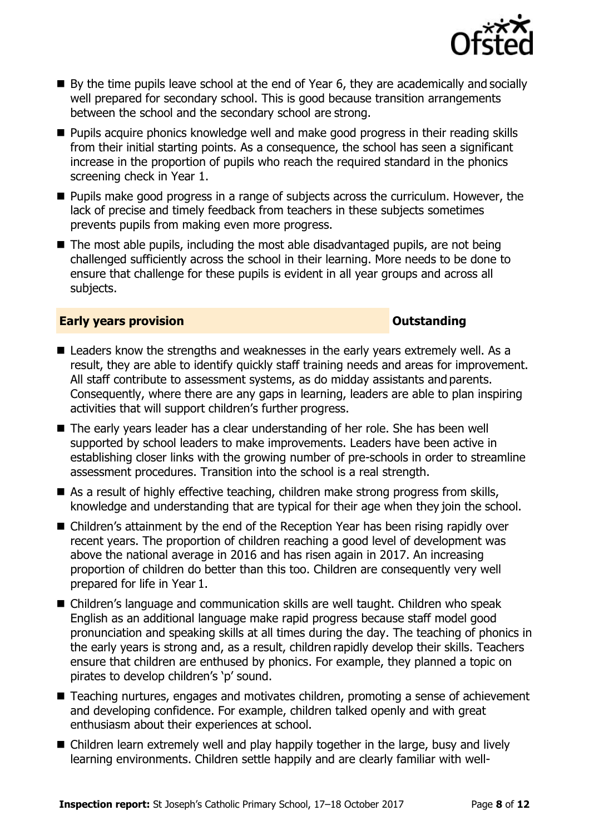

- $\blacksquare$  By the time pupils leave school at the end of Year 6, they are academically and socially well prepared for secondary school. This is good because transition arrangements between the school and the secondary school are strong.
- **Pupils acquire phonics knowledge well and make good progress in their reading skills** from their initial starting points. As a consequence, the school has seen a significant increase in the proportion of pupils who reach the required standard in the phonics screening check in Year 1.
- **Pupils make good progress in a range of subjects across the curriculum. However, the** lack of precise and timely feedback from teachers in these subjects sometimes prevents pupils from making even more progress.
- The most able pupils, including the most able disadvantaged pupils, are not being challenged sufficiently across the school in their learning. More needs to be done to ensure that challenge for these pupils is evident in all year groups and across all subjects.

#### **Early years provision CONSTANDING TO A RESERVE THE SERVE TO A RESERVE THE SERVE TO A RESERVE THE SERVE TO A RESERVE THE SERVE TO A RESERVE THE SERVE TO A RESERVE THE SERVE TO A RESERVE THE SERVE TO A RESERVE THE SERVE T**

- Leaders know the strengths and weaknesses in the early years extremely well. As a result, they are able to identify quickly staff training needs and areas for improvement. All staff contribute to assessment systems, as do midday assistants and parents. Consequently, where there are any gaps in learning, leaders are able to plan inspiring activities that will support children's further progress.
- The early years leader has a clear understanding of her role. She has been well supported by school leaders to make improvements. Leaders have been active in establishing closer links with the growing number of pre-schools in order to streamline assessment procedures. Transition into the school is a real strength.
- As a result of highly effective teaching, children make strong progress from skills, knowledge and understanding that are typical for their age when they join the school.
- Children's attainment by the end of the Reception Year has been rising rapidly over recent years. The proportion of children reaching a good level of development was above the national average in 2016 and has risen again in 2017. An increasing proportion of children do better than this too. Children are consequently very well prepared for life in Year 1.
- Children's language and communication skills are well taught. Children who speak English as an additional language make rapid progress because staff model good pronunciation and speaking skills at all times during the day. The teaching of phonics in the early years is strong and, as a result, children rapidly develop their skills. Teachers ensure that children are enthused by phonics. For example, they planned a topic on pirates to develop children's 'p' sound.
- Teaching nurtures, engages and motivates children, promoting a sense of achievement and developing confidence. For example, children talked openly and with great enthusiasm about their experiences at school.
- Children learn extremely well and play happily together in the large, busy and lively learning environments. Children settle happily and are clearly familiar with well-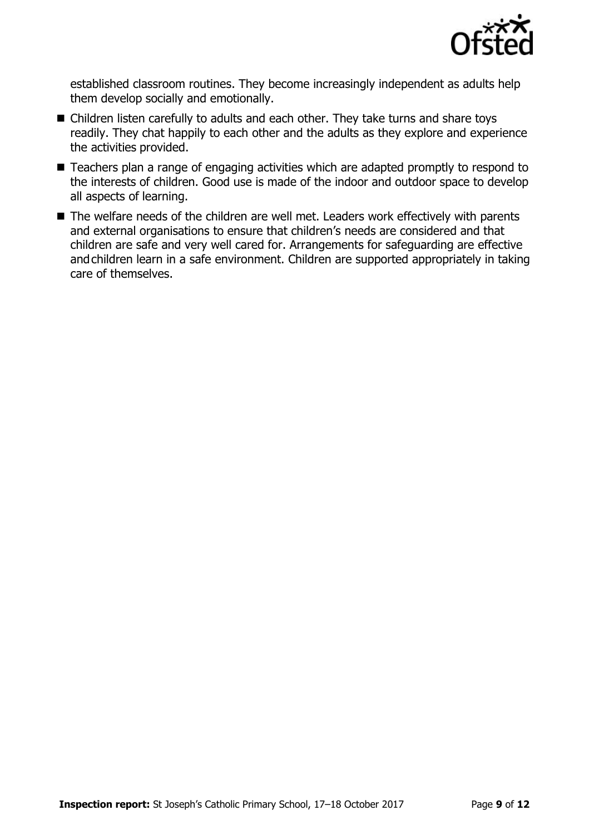

established classroom routines. They become increasingly independent as adults help them develop socially and emotionally.

- Children listen carefully to adults and each other. They take turns and share toys readily. They chat happily to each other and the adults as they explore and experience the activities provided.
- Teachers plan a range of engaging activities which are adapted promptly to respond to the interests of children. Good use is made of the indoor and outdoor space to develop all aspects of learning.
- The welfare needs of the children are well met. Leaders work effectively with parents and external organisations to ensure that children's needs are considered and that children are safe and very well cared for. Arrangements for safeguarding are effective andchildren learn in a safe environment. Children are supported appropriately in taking care of themselves.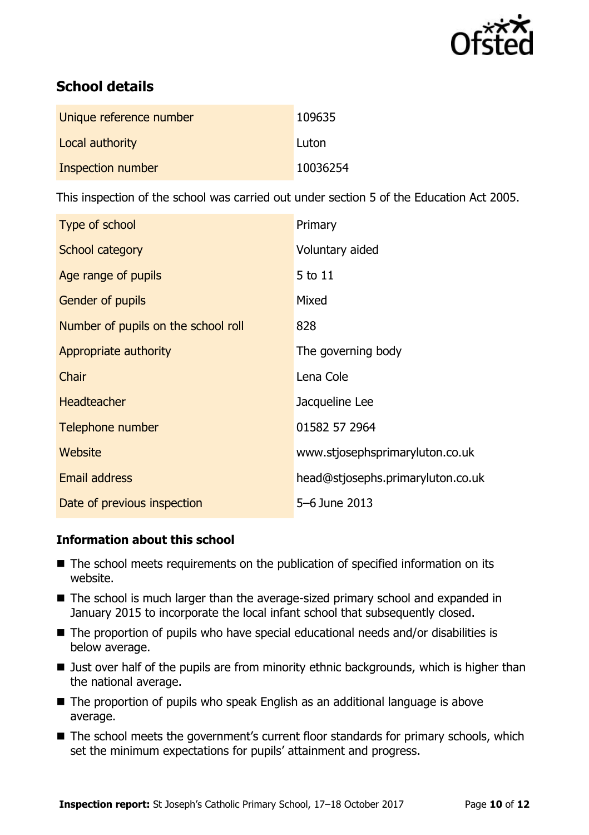

# **School details**

| Unique reference number | 109635   |
|-------------------------|----------|
| Local authority         | Luton    |
| Inspection number       | 10036254 |

This inspection of the school was carried out under section 5 of the Education Act 2005.

| Type of school                      | Primary                           |
|-------------------------------------|-----------------------------------|
| School category                     | Voluntary aided                   |
| Age range of pupils                 | 5 to 11                           |
| <b>Gender of pupils</b>             | Mixed                             |
| Number of pupils on the school roll | 828                               |
| Appropriate authority               | The governing body                |
| Chair                               | Lena Cole                         |
| <b>Headteacher</b>                  | Jacqueline Lee                    |
| Telephone number                    | 01582 57 2964                     |
| Website                             | www.stjosephsprimaryluton.co.uk   |
| Email address                       | head@stjosephs.primaryluton.co.uk |
| Date of previous inspection         | 5-6 June 2013                     |

### **Information about this school**

- The school meets requirements on the publication of specified information on its website.
- The school is much larger than the average-sized primary school and expanded in January 2015 to incorporate the local infant school that subsequently closed.
- $\blacksquare$  The proportion of pupils who have special educational needs and/or disabilities is below average.
- **Just over half of the pupils are from minority ethnic backgrounds, which is higher than** the national average.
- The proportion of pupils who speak English as an additional language is above average.
- The school meets the government's current floor standards for primary schools, which set the minimum expectations for pupils' attainment and progress.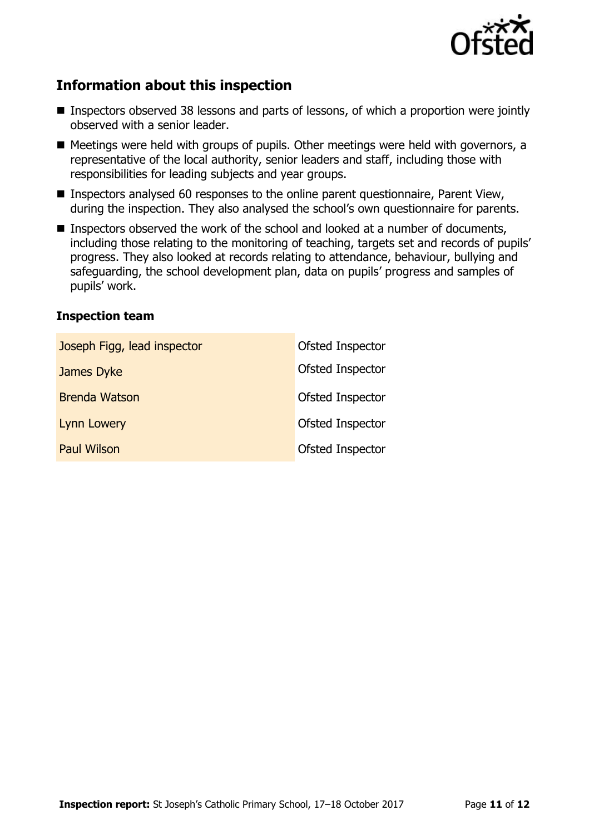

## **Information about this inspection**

- Inspectors observed 38 lessons and parts of lessons, of which a proportion were jointly observed with a senior leader.
- Meetings were held with groups of pupils. Other meetings were held with governors, a representative of the local authority, senior leaders and staff, including those with responsibilities for leading subjects and year groups.
- Inspectors analysed 60 responses to the online parent questionnaire, Parent View, during the inspection. They also analysed the school's own questionnaire for parents.
- Inspectors observed the work of the school and looked at a number of documents, including those relating to the monitoring of teaching, targets set and records of pupils' progress. They also looked at records relating to attendance, behaviour, bullying and safeguarding, the school development plan, data on pupils' progress and samples of pupils' work.

#### **Inspection team**

| Joseph Figg, lead inspector | Ofsted Inspector |
|-----------------------------|------------------|
| James Dyke                  | Ofsted Inspector |
| <b>Brenda Watson</b>        | Ofsted Inspector |
| <b>Lynn Lowery</b>          | Ofsted Inspector |
| <b>Paul Wilson</b>          | Ofsted Inspector |